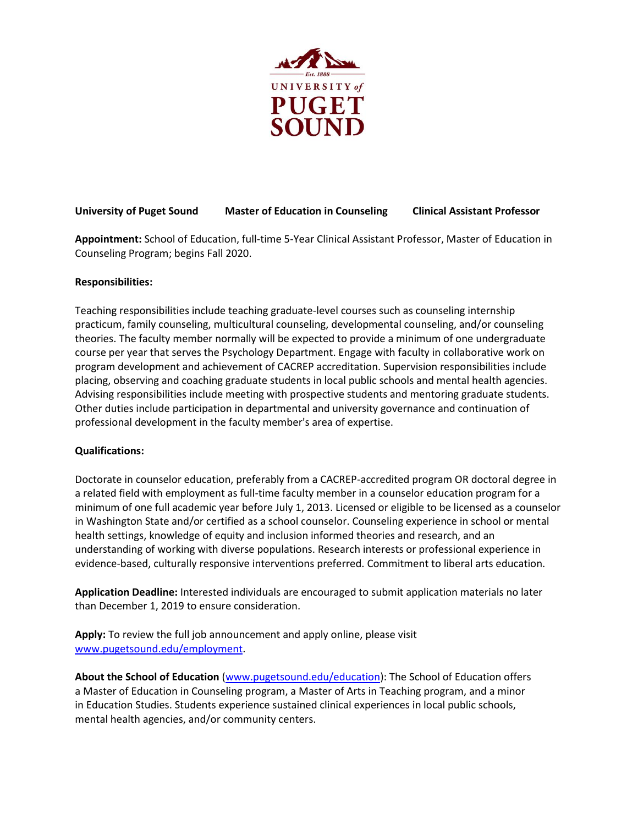

# **University of Puget Sound Master of Education in Counseling Clinical Assistant Professor**

**Appointment:** School of Education, full-time 5-Year Clinical Assistant Professor, Master of Education in Counseling Program; begins Fall 2020.

## **Responsibilities:**

Teaching responsibilities include teaching graduate-level courses such as counseling internship practicum, family counseling, multicultural counseling, developmental counseling, and/or counseling theories. The faculty member normally will be expected to provide a minimum of one undergraduate course per year that serves the Psychology Department. Engage with faculty in collaborative work on program development and achievement of CACREP accreditation. Supervision responsibilities include placing, observing and coaching graduate students in local public schools and mental health agencies. Advising responsibilities include meeting with prospective students and mentoring graduate students. Other duties include participation in departmental and university governance and continuation of professional development in the faculty member's area of expertise.

## **Qualifications:**

Doctorate in counselor education, preferably from a CACREP-accredited program OR doctoral degree in a related field with employment as full-time faculty member in a counselor education program for a minimum of one full academic year before July 1, 2013. Licensed or eligible to be licensed as a counselor in Washington State and/or certified as a school counselor. Counseling experience in school or mental health settings, knowledge of equity and inclusion informed theories and research, and an understanding of working with diverse populations. Research interests or professional experience in evidence-based, culturally responsive interventions preferred. Commitment to liberal arts education.

**Application Deadline:** Interested individuals are encouraged to submit application materials no later than December 1, 2019 to ensure consideration.

**Apply:** To review the full job announcement and apply online, please visit [www.pugetsound.edu/employment.](http://www.pugetsound.edu/employment)

**About the School of Education** [\(www.pugetsound.edu/education\)](http://www.pugetsound.edu/education): The School of Education offers a Master of Education in Counseling program, a Master of Arts in Teaching program, and a minor in Education Studies. Students experience sustained clinical experiences in local public schools, mental health agencies, and/or community centers.